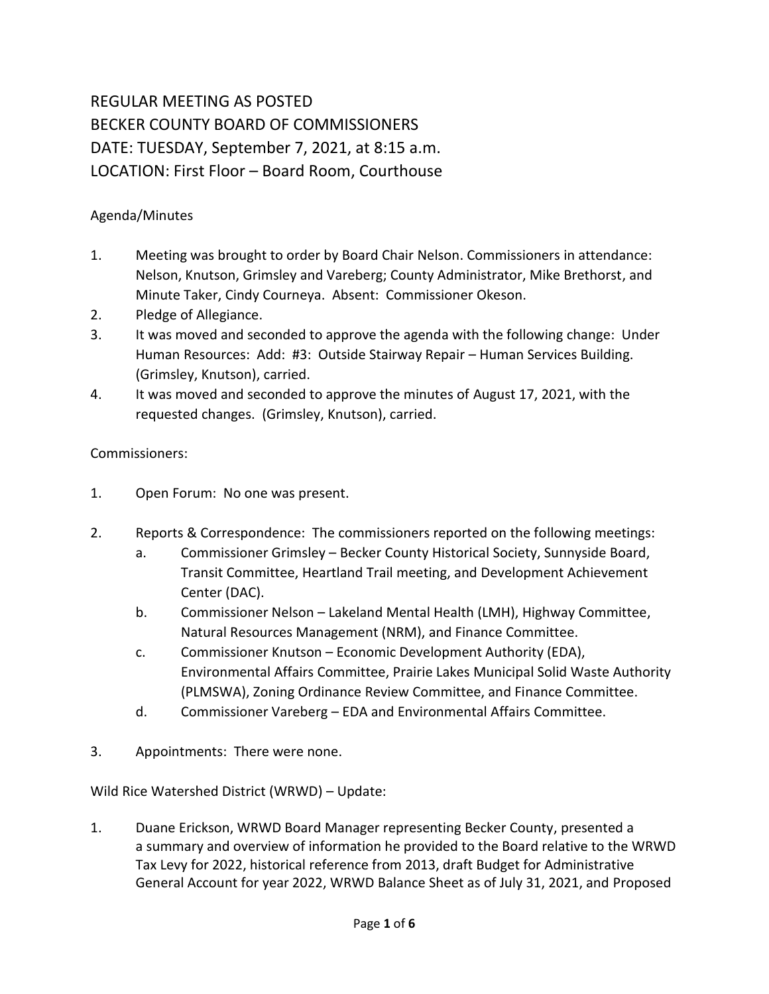## REGULAR MEETING AS POSTED BECKER COUNTY BOARD OF COMMISSIONERS DATE: TUESDAY, September 7, 2021, at 8:15 a.m. LOCATION: First Floor – Board Room, Courthouse

## Agenda/Minutes

- 1. Meeting was brought to order by Board Chair Nelson. Commissioners in attendance: Nelson, Knutson, Grimsley and Vareberg; County Administrator, Mike Brethorst, and Minute Taker, Cindy Courneya. Absent: Commissioner Okeson.
- 2. Pledge of Allegiance.
- 3. It was moved and seconded to approve the agenda with the following change: Under Human Resources: Add: #3: Outside Stairway Repair – Human Services Building. (Grimsley, Knutson), carried.
- 4. It was moved and seconded to approve the minutes of August 17, 2021, with the requested changes. (Grimsley, Knutson), carried.

## Commissioners:

- 1. Open Forum: No one was present.
- 2. Reports & Correspondence: The commissioners reported on the following meetings:
	- a. Commissioner Grimsley Becker County Historical Society, Sunnyside Board, Transit Committee, Heartland Trail meeting, and Development Achievement Center (DAC).
	- b. Commissioner Nelson Lakeland Mental Health (LMH), Highway Committee, Natural Resources Management (NRM), and Finance Committee.
	- c. Commissioner Knutson Economic Development Authority (EDA), Environmental Affairs Committee, Prairie Lakes Municipal Solid Waste Authority (PLMSWA), Zoning Ordinance Review Committee, and Finance Committee.
	- d. Commissioner Vareberg EDA and Environmental Affairs Committee.
- 3. Appointments: There were none.

Wild Rice Watershed District (WRWD) – Update:

1. Duane Erickson, WRWD Board Manager representing Becker County, presented a a summary and overview of information he provided to the Board relative to the WRWD Tax Levy for 2022, historical reference from 2013, draft Budget for Administrative General Account for year 2022, WRWD Balance Sheet as of July 31, 2021, and Proposed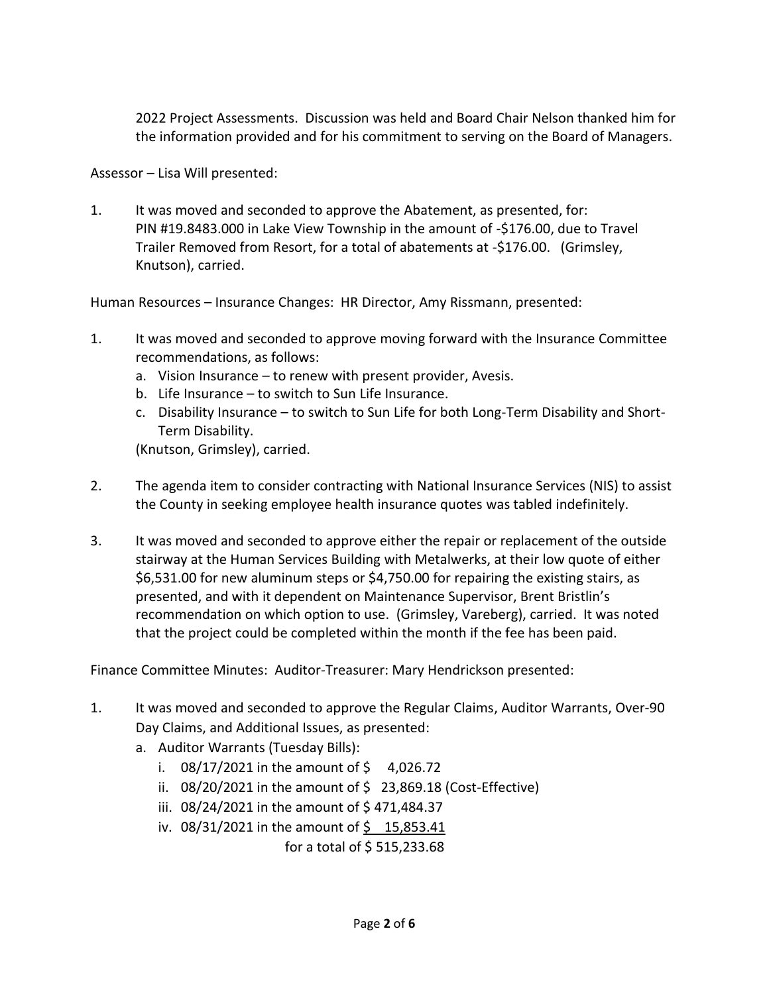2022 Project Assessments. Discussion was held and Board Chair Nelson thanked him for the information provided and for his commitment to serving on the Board of Managers.

Assessor – Lisa Will presented:

1. It was moved and seconded to approve the Abatement, as presented, for: PIN #19.8483.000 in Lake View Township in the amount of -\$176.00, due to Travel Trailer Removed from Resort, for a total of abatements at -\$176.00. (Grimsley, Knutson), carried.

Human Resources – Insurance Changes: HR Director, Amy Rissmann, presented:

- 1. It was moved and seconded to approve moving forward with the Insurance Committee recommendations, as follows:
	- a. Vision Insurance to renew with present provider, Avesis.
	- b. Life Insurance to switch to Sun Life Insurance.
	- c. Disability Insurance to switch to Sun Life for both Long-Term Disability and Short-Term Disability.

(Knutson, Grimsley), carried.

- 2. The agenda item to consider contracting with National Insurance Services (NIS) to assist the County in seeking employee health insurance quotes was tabled indefinitely.
- 3. It was moved and seconded to approve either the repair or replacement of the outside stairway at the Human Services Building with Metalwerks, at their low quote of either \$6,531.00 for new aluminum steps or \$4,750.00 for repairing the existing stairs, as presented, and with it dependent on Maintenance Supervisor, Brent Bristlin's recommendation on which option to use. (Grimsley, Vareberg), carried. It was noted that the project could be completed within the month if the fee has been paid.

Finance Committee Minutes: Auditor-Treasurer: Mary Hendrickson presented:

- 1. It was moved and seconded to approve the Regular Claims, Auditor Warrants, Over-90 Day Claims, and Additional Issues, as presented:
	- a. Auditor Warrants (Tuesday Bills):
		- i.  $08/17/2021$  in the amount of \$ 4,026.72
		- ii.  $08/20/2021$  in the amount of  $\frac{1}{2}$  23,869.18 (Cost-Effective)
		- iii. 08/24/2021 in the amount of \$471,484.37
		- iv.  $08/31/2021$  in the amount of  $\frac{6}{5}$  15,853.41

for a total of \$ 515,233.68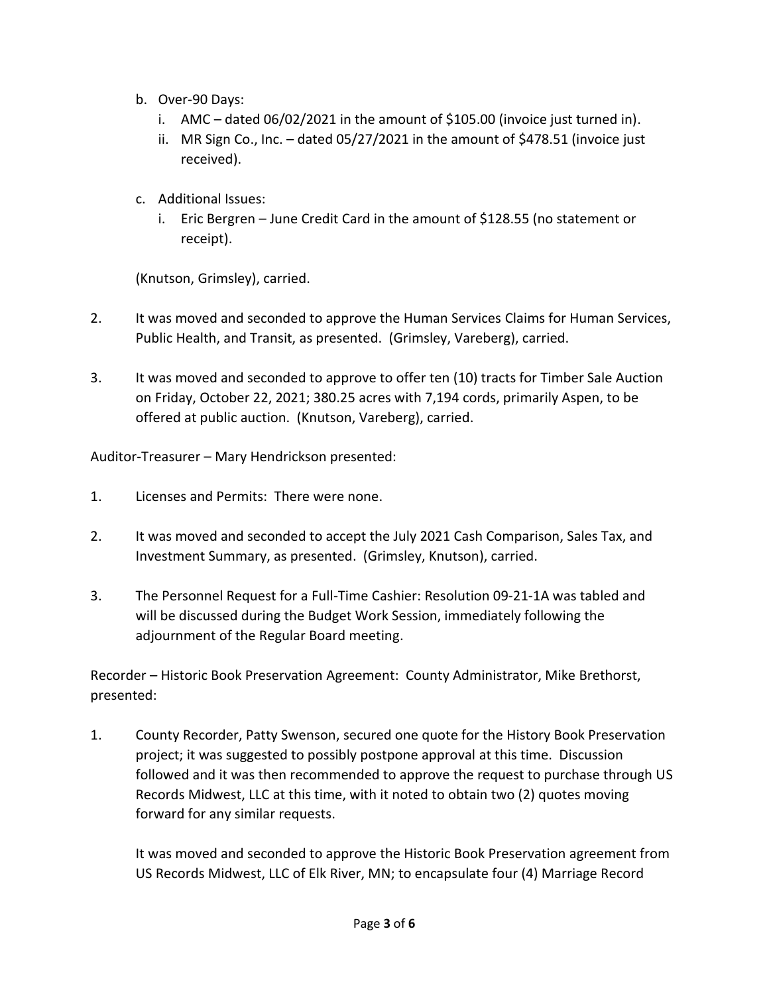- b. Over-90 Days:
	- i. AMC dated 06/02/2021 in the amount of \$105.00 (invoice just turned in).
	- ii. MR Sign Co., Inc. dated 05/27/2021 in the amount of \$478.51 (invoice just received).
- c. Additional Issues:
	- i. Eric Bergren June Credit Card in the amount of \$128.55 (no statement or receipt).

(Knutson, Grimsley), carried.

- 2. It was moved and seconded to approve the Human Services Claims for Human Services, Public Health, and Transit, as presented. (Grimsley, Vareberg), carried.
- 3. It was moved and seconded to approve to offer ten (10) tracts for Timber Sale Auction on Friday, October 22, 2021; 380.25 acres with 7,194 cords, primarily Aspen, to be offered at public auction. (Knutson, Vareberg), carried.

Auditor-Treasurer – Mary Hendrickson presented:

- 1. Licenses and Permits: There were none.
- 2. It was moved and seconded to accept the July 2021 Cash Comparison, Sales Tax, and Investment Summary, as presented. (Grimsley, Knutson), carried.
- 3. The Personnel Request for a Full-Time Cashier: Resolution 09-21-1A was tabled and will be discussed during the Budget Work Session, immediately following the adjournment of the Regular Board meeting.

Recorder – Historic Book Preservation Agreement: County Administrator, Mike Brethorst, presented:

1. County Recorder, Patty Swenson, secured one quote for the History Book Preservation project; it was suggested to possibly postpone approval at this time. Discussion followed and it was then recommended to approve the request to purchase through US Records Midwest, LLC at this time, with it noted to obtain two (2) quotes moving forward for any similar requests.

It was moved and seconded to approve the Historic Book Preservation agreement from US Records Midwest, LLC of Elk River, MN; to encapsulate four (4) Marriage Record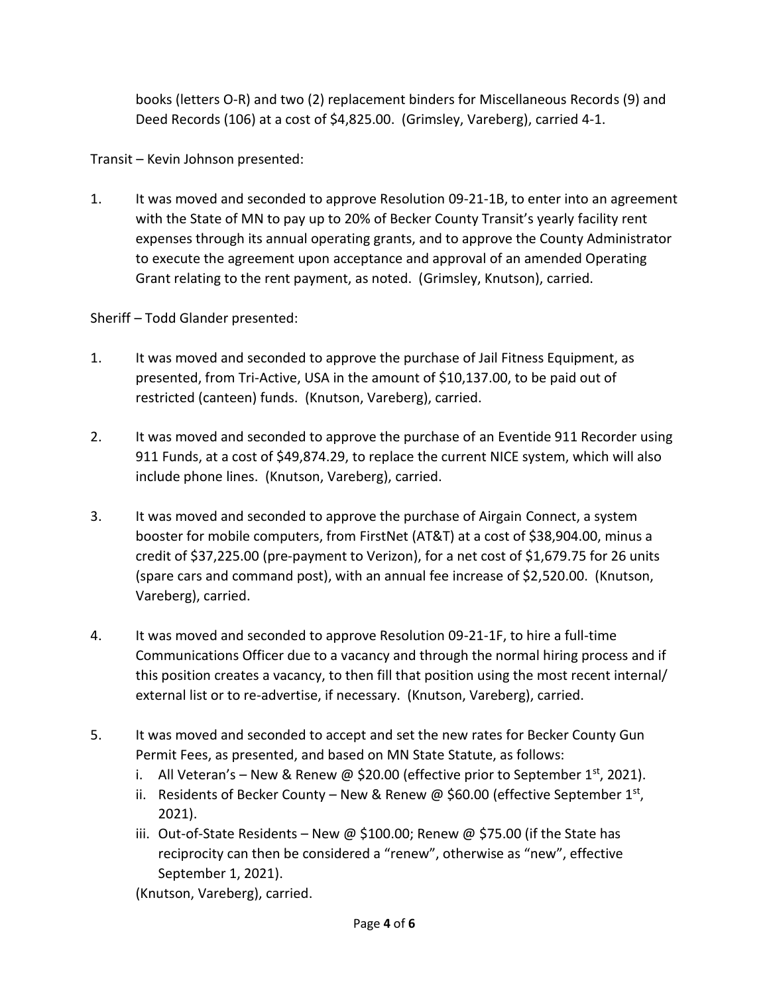books (letters O-R) and two (2) replacement binders for Miscellaneous Records (9) and Deed Records (106) at a cost of \$4,825.00. (Grimsley, Vareberg), carried 4-1.

Transit – Kevin Johnson presented:

1. It was moved and seconded to approve Resolution 09-21-1B, to enter into an agreement with the State of MN to pay up to 20% of Becker County Transit's yearly facility rent expenses through its annual operating grants, and to approve the County Administrator to execute the agreement upon acceptance and approval of an amended Operating Grant relating to the rent payment, as noted. (Grimsley, Knutson), carried.

Sheriff – Todd Glander presented:

- 1. It was moved and seconded to approve the purchase of Jail Fitness Equipment, as presented, from Tri-Active, USA in the amount of \$10,137.00, to be paid out of restricted (canteen) funds. (Knutson, Vareberg), carried.
- 2. It was moved and seconded to approve the purchase of an Eventide 911 Recorder using 911 Funds, at a cost of \$49,874.29, to replace the current NICE system, which will also include phone lines. (Knutson, Vareberg), carried.
- 3. It was moved and seconded to approve the purchase of Airgain Connect, a system booster for mobile computers, from FirstNet (AT&T) at a cost of \$38,904.00, minus a credit of \$37,225.00 (pre-payment to Verizon), for a net cost of \$1,679.75 for 26 units (spare cars and command post), with an annual fee increase of \$2,520.00. (Knutson, Vareberg), carried.
- 4. It was moved and seconded to approve Resolution 09-21-1F, to hire a full-time Communications Officer due to a vacancy and through the normal hiring process and if this position creates a vacancy, to then fill that position using the most recent internal/ external list or to re-advertise, if necessary. (Knutson, Vareberg), carried.
- 5. It was moved and seconded to accept and set the new rates for Becker County Gun Permit Fees, as presented, and based on MN State Statute, as follows:
	- i. All Veteran's New & Renew @ \$20.00 (effective prior to September 1st, 2021).
	- ii. Residents of Becker County New & Renew @ \$60.00 (effective September  $1<sup>st</sup>$ , 2021).
	- iii. Out-of-State Residents New @ \$100.00; Renew @ \$75.00 (if the State has reciprocity can then be considered a "renew", otherwise as "new", effective September 1, 2021).

(Knutson, Vareberg), carried.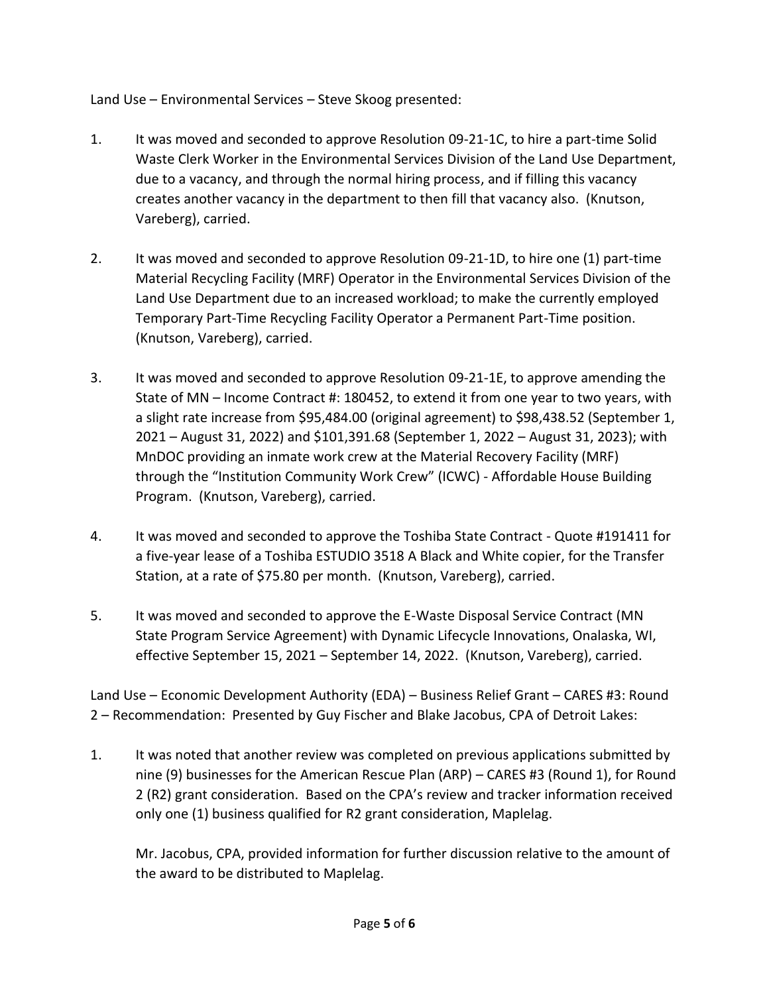Land Use – Environmental Services – Steve Skoog presented:

- 1. It was moved and seconded to approve Resolution 09-21-1C, to hire a part-time Solid Waste Clerk Worker in the Environmental Services Division of the Land Use Department, due to a vacancy, and through the normal hiring process, and if filling this vacancy creates another vacancy in the department to then fill that vacancy also. (Knutson, Vareberg), carried.
- 2. It was moved and seconded to approve Resolution 09-21-1D, to hire one (1) part-time Material Recycling Facility (MRF) Operator in the Environmental Services Division of the Land Use Department due to an increased workload; to make the currently employed Temporary Part-Time Recycling Facility Operator a Permanent Part-Time position. (Knutson, Vareberg), carried.
- 3. It was moved and seconded to approve Resolution 09-21-1E, to approve amending the State of MN – Income Contract #: 180452, to extend it from one year to two years, with a slight rate increase from \$95,484.00 (original agreement) to \$98,438.52 (September 1, 2021 – August 31, 2022) and \$101,391.68 (September 1, 2022 – August 31, 2023); with MnDOC providing an inmate work crew at the Material Recovery Facility (MRF) through the "Institution Community Work Crew" (ICWC) - Affordable House Building Program. (Knutson, Vareberg), carried.
- 4. It was moved and seconded to approve the Toshiba State Contract Quote #191411 for a five-year lease of a Toshiba ESTUDIO 3518 A Black and White copier, for the Transfer Station, at a rate of \$75.80 per month. (Knutson, Vareberg), carried.
- 5. It was moved and seconded to approve the E-Waste Disposal Service Contract (MN State Program Service Agreement) with Dynamic Lifecycle Innovations, Onalaska, WI, effective September 15, 2021 – September 14, 2022. (Knutson, Vareberg), carried.

Land Use – Economic Development Authority (EDA) – Business Relief Grant – CARES #3: Round 2 – Recommendation: Presented by Guy Fischer and Blake Jacobus, CPA of Detroit Lakes:

1. It was noted that another review was completed on previous applications submitted by nine (9) businesses for the American Rescue Plan (ARP) – CARES #3 (Round 1), for Round 2 (R2) grant consideration. Based on the CPA's review and tracker information received only one (1) business qualified for R2 grant consideration, Maplelag.

Mr. Jacobus, CPA, provided information for further discussion relative to the amount of the award to be distributed to Maplelag.